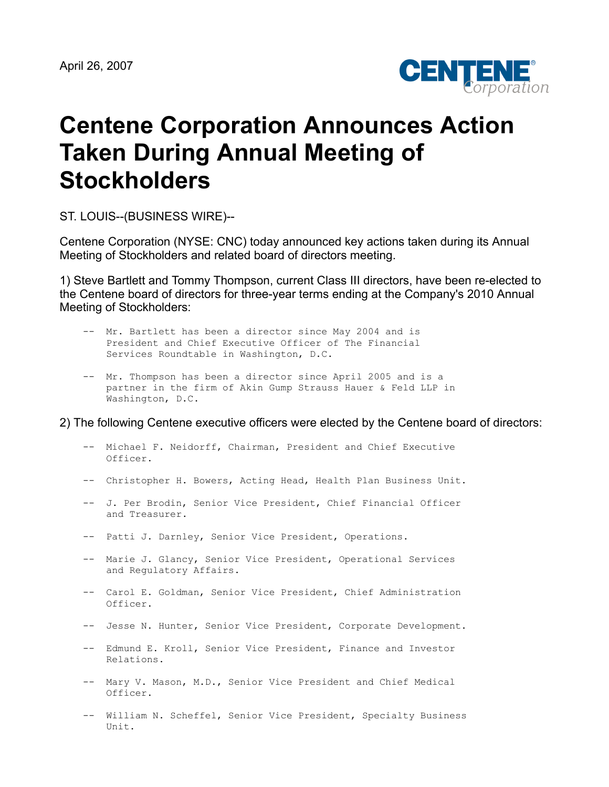

## **Centene Corporation Announces Action Taken During Annual Meeting of Stockholders**

ST. LOUIS--(BUSINESS WIRE)--

Centene Corporation (NYSE: CNC) today announced key actions taken during its Annual Meeting of Stockholders and related board of directors meeting.

1) Steve Bartlett and Tommy Thompson, current Class III directors, have been re-elected to the Centene board of directors for three-year terms ending at the Company's 2010 Annual Meeting of Stockholders:

- -- Mr. Bartlett has been a director since May 2004 and is President and Chief Executive Officer of The Financial Services Roundtable in Washington, D.C.
- -- Mr. Thompson has been a director since April 2005 and is a partner in the firm of Akin Gump Strauss Hauer & Feld LLP in Washington, D.C.

2) The following Centene executive officers were elected by the Centene board of directors:

- -- Michael F. Neidorff, Chairman, President and Chief Executive Officer.
- -- Christopher H. Bowers, Acting Head, Health Plan Business Unit.
- -- J. Per Brodin, Senior Vice President, Chief Financial Officer and Treasurer.
- -- Patti J. Darnley, Senior Vice President, Operations.
- -- Marie J. Glancy, Senior Vice President, Operational Services and Regulatory Affairs.
- -- Carol E. Goldman, Senior Vice President, Chief Administration Officer.
- -- Jesse N. Hunter, Senior Vice President, Corporate Development.
- -- Edmund E. Kroll, Senior Vice President, Finance and Investor Relations.
- -- Mary V. Mason, M.D., Senior Vice President and Chief Medical Officer.
- -- William N. Scheffel, Senior Vice President, Specialty Business Unit.